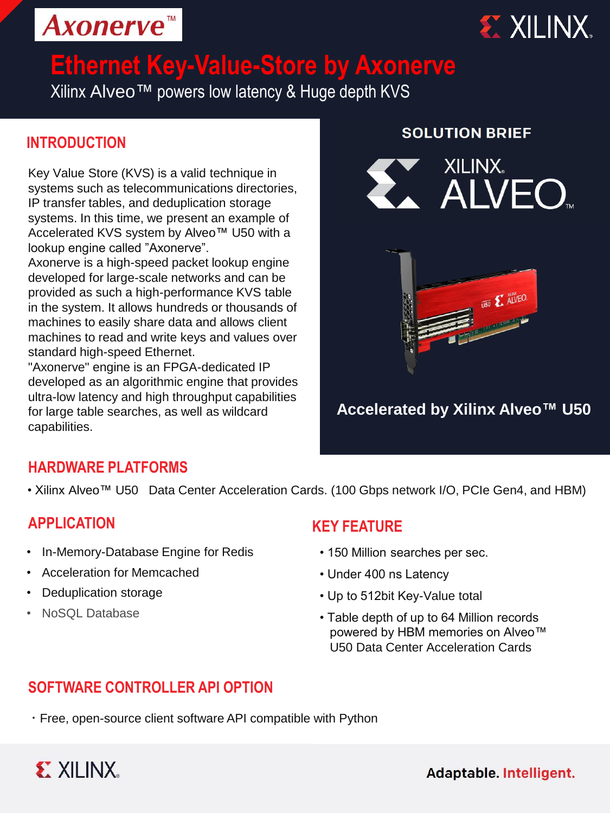



# **Ethernet Key-Value-Store by Axonerve**

Xilinx Alveo™ powers low latency & Huge depth KVS

## **INTRODUCTION**

Key Value Store (KVS) is a valid technique in systems such as telecommunications directories, IP transfer tables, and deduplication storage systems. In this time, we present an example of Accelerated KVS system by Alveo™ U50 with a lookup engine called "Axonerve".

Axonerve is a high-speed packet lookup engine developed for large-scale networks and can be provided as such a high-performance KVS table in the system. It allows hundreds or thousands of machines to easily share data and allows client machines to read and write keys and values over standard high-speed Ethernet.

"Axonerve" engine is an FPGA-dedicated IP developed as an algorithmic engine that provides ultra-low latency and high throughput capabilities for large table searches, as well as wildcard capabilities.

#### **SOLUTION BRIEF**





## **Accelerated by Xilinx Alveo™ U50**

### **HARDWARE PLATFORMS**

• Xilinx Alveo™ U50 Data Center Acceleration Cards. (100 Gbps network I/O, PCIe Gen4, and HBM)

#### **APPLICATION**

- In-Memory-Database Engine for Redis
- Acceleration for Memcached
- Deduplication storage
- NoSQL Database

### **KEY FEATURE**

- 150 Million searches per sec.
- Under 400 ns Latency
- Up to 512bit Key-Value total
- Table depth of up to 64 Million records powered by HBM memories on Alveo<sup>™</sup> U50 Data Center Acceleration Cards

## **SOFTWARE CONTROLLER API OPTION**

・Free, open-source client software API compatible with Python



Adaptable. Intelligent.